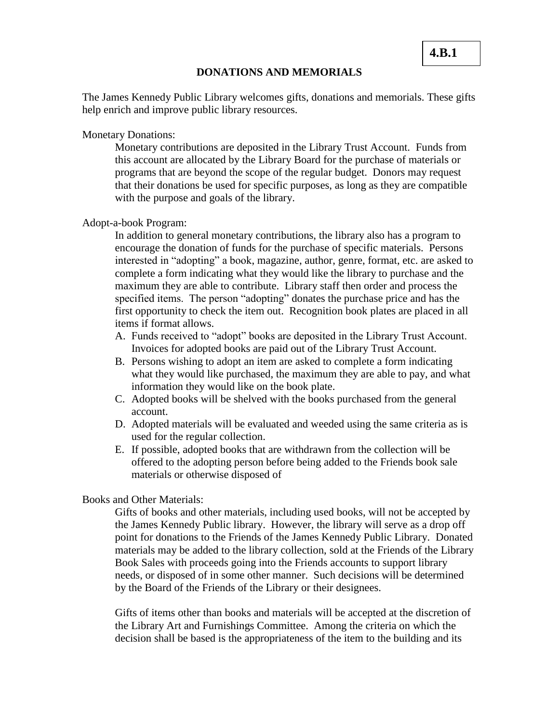#### **DONATIONS AND MEMORIALS**

The James Kennedy Public Library welcomes gifts, donations and memorials. These gifts help enrich and improve public library resources.

Monetary Donations:

Monetary contributions are deposited in the Library Trust Account. Funds from this account are allocated by the Library Board for the purchase of materials or programs that are beyond the scope of the regular budget. Donors may request that their donations be used for specific purposes, as long as they are compatible with the purpose and goals of the library.

#### Adopt-a-book Program:

In addition to general monetary contributions, the library also has a program to encourage the donation of funds for the purchase of specific materials. Persons interested in "adopting" a book, magazine, author, genre, format, etc. are asked to complete a form indicating what they would like the library to purchase and the maximum they are able to contribute. Library staff then order and process the specified items. The person "adopting" donates the purchase price and has the first opportunity to check the item out. Recognition book plates are placed in all items if format allows.

- A. Funds received to "adopt" books are deposited in the Library Trust Account. Invoices for adopted books are paid out of the Library Trust Account.
- B. Persons wishing to adopt an item are asked to complete a form indicating what they would like purchased, the maximum they are able to pay, and what information they would like on the book plate.
- C. Adopted books will be shelved with the books purchased from the general account.
- D. Adopted materials will be evaluated and weeded using the same criteria as is used for the regular collection.
- E. If possible, adopted books that are withdrawn from the collection will be offered to the adopting person before being added to the Friends book sale materials or otherwise disposed of

### Books and Other Materials:

Gifts of books and other materials, including used books, will not be accepted by the James Kennedy Public library. However, the library will serve as a drop off point for donations to the Friends of the James Kennedy Public Library. Donated materials may be added to the library collection, sold at the Friends of the Library Book Sales with proceeds going into the Friends accounts to support library needs, or disposed of in some other manner. Such decisions will be determined by the Board of the Friends of the Library or their designees.

Gifts of items other than books and materials will be accepted at the discretion of the Library Art and Furnishings Committee. Among the criteria on which the decision shall be based is the appropriateness of the item to the building and its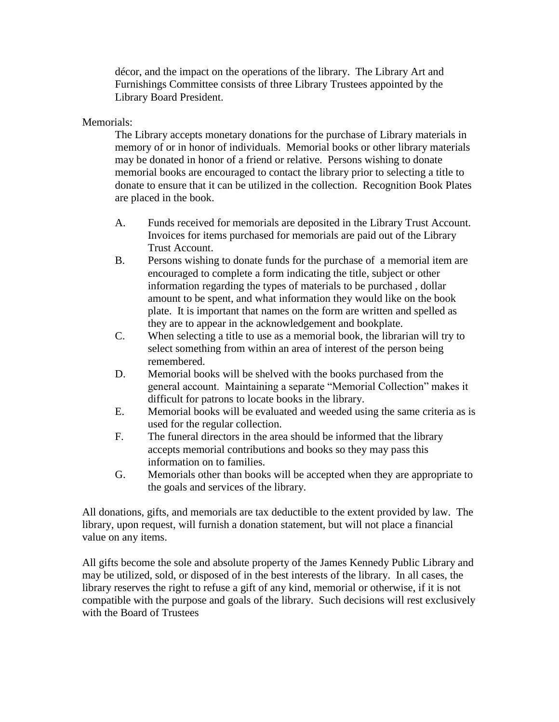décor, and the impact on the operations of the library. The Library Art and Furnishings Committee consists of three Library Trustees appointed by the Library Board President.

## Memorials:

The Library accepts monetary donations for the purchase of Library materials in memory of or in honor of individuals. Memorial books or other library materials may be donated in honor of a friend or relative. Persons wishing to donate memorial books are encouraged to contact the library prior to selecting a title to donate to ensure that it can be utilized in the collection. Recognition Book Plates are placed in the book.

- A. Funds received for memorials are deposited in the Library Trust Account. Invoices for items purchased for memorials are paid out of the Library Trust Account.
- B. Persons wishing to donate funds for the purchase of a memorial item are encouraged to complete a form indicating the title, subject or other information regarding the types of materials to be purchased , dollar amount to be spent, and what information they would like on the book plate. It is important that names on the form are written and spelled as they are to appear in the acknowledgement and bookplate.
- C. When selecting a title to use as a memorial book, the librarian will try to select something from within an area of interest of the person being remembered.
- D. Memorial books will be shelved with the books purchased from the general account. Maintaining a separate "Memorial Collection" makes it difficult for patrons to locate books in the library.
- E. Memorial books will be evaluated and weeded using the same criteria as is used for the regular collection.
- F. The funeral directors in the area should be informed that the library accepts memorial contributions and books so they may pass this information on to families.
- G. Memorials other than books will be accepted when they are appropriate to the goals and services of the library.

All donations, gifts, and memorials are tax deductible to the extent provided by law. The library, upon request, will furnish a donation statement, but will not place a financial value on any items.

All gifts become the sole and absolute property of the James Kennedy Public Library and may be utilized, sold, or disposed of in the best interests of the library. In all cases, the library reserves the right to refuse a gift of any kind, memorial or otherwise, if it is not compatible with the purpose and goals of the library. Such decisions will rest exclusively with the Board of Trustees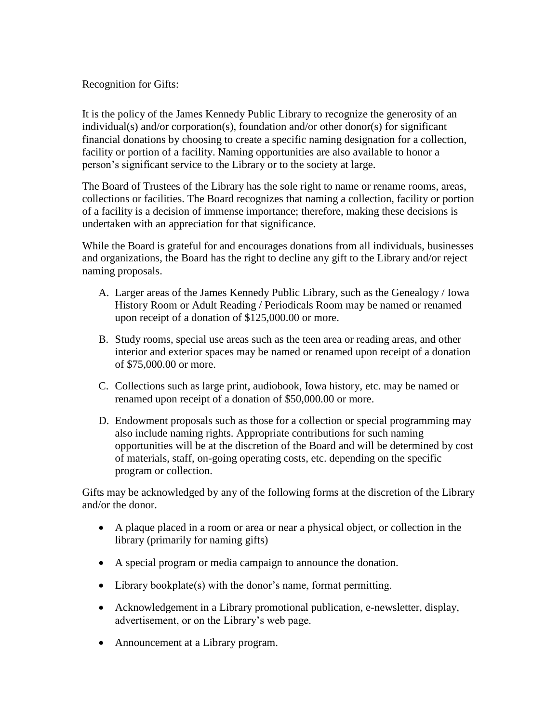Recognition for Gifts:

It is the policy of the James Kennedy Public Library to recognize the generosity of an individual(s) and/or corporation(s), foundation and/or other donor(s) for significant financial donations by choosing to create a specific naming designation for a collection, facility or portion of a facility. Naming opportunities are also available to honor a person's significant service to the Library or to the society at large.

The Board of Trustees of the Library has the sole right to name or rename rooms, areas, collections or facilities. The Board recognizes that naming a collection, facility or portion of a facility is a decision of immense importance; therefore, making these decisions is undertaken with an appreciation for that significance.

While the Board is grateful for and encourages donations from all individuals, businesses and organizations, the Board has the right to decline any gift to the Library and/or reject naming proposals.

- A. Larger areas of the James Kennedy Public Library, such as the Genealogy / Iowa History Room or Adult Reading / Periodicals Room may be named or renamed upon receipt of a donation of \$125,000.00 or more.
- B. Study rooms, special use areas such as the teen area or reading areas, and other interior and exterior spaces may be named or renamed upon receipt of a donation of \$75,000.00 or more.
- C. Collections such as large print, audiobook, Iowa history, etc. may be named or renamed upon receipt of a donation of \$50,000.00 or more.
- D. Endowment proposals such as those for a collection or special programming may also include naming rights. Appropriate contributions for such naming opportunities will be at the discretion of the Board and will be determined by cost of materials, staff, on-going operating costs, etc. depending on the specific program or collection.

Gifts may be acknowledged by any of the following forms at the discretion of the Library and/or the donor.

- A plaque placed in a room or area or near a physical object, or collection in the library (primarily for naming gifts)
- A special program or media campaign to announce the donation.
- Library bookplate(s) with the donor's name, format permitting.
- Acknowledgement in a Library promotional publication, e-newsletter, display, advertisement, or on the Library's web page.
- Announcement at a Library program.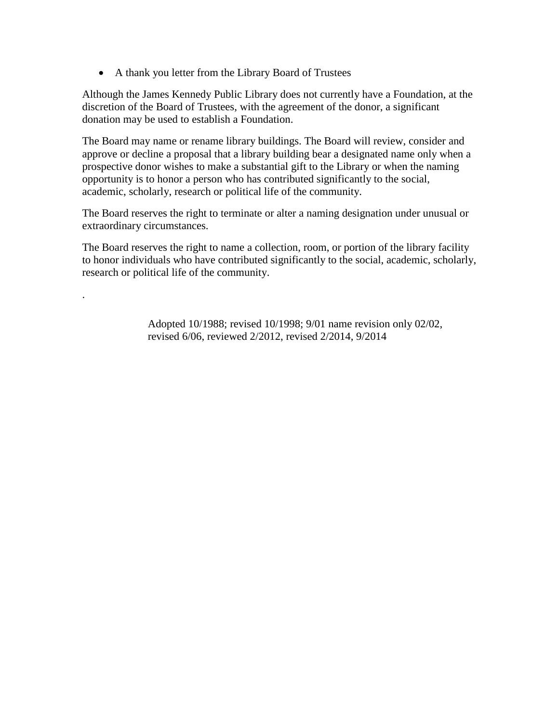A thank you letter from the Library Board of Trustees

.

Although the James Kennedy Public Library does not currently have a Foundation, at the discretion of the Board of Trustees, with the agreement of the donor, a significant donation may be used to establish a Foundation.

The Board may name or rename library buildings. The Board will review, consider and approve or decline a proposal that a library building bear a designated name only when a prospective donor wishes to make a substantial gift to the Library or when the naming opportunity is to honor a person who has contributed significantly to the social, academic, scholarly, research or political life of the community.

The Board reserves the right to terminate or alter a naming designation under unusual or extraordinary circumstances.

The Board reserves the right to name a collection, room, or portion of the library facility to honor individuals who have contributed significantly to the social, academic, scholarly, research or political life of the community.

> Adopted 10/1988; revised 10/1998; 9/01 name revision only 02/02, revised 6/06, reviewed 2/2012, revised 2/2014, 9/2014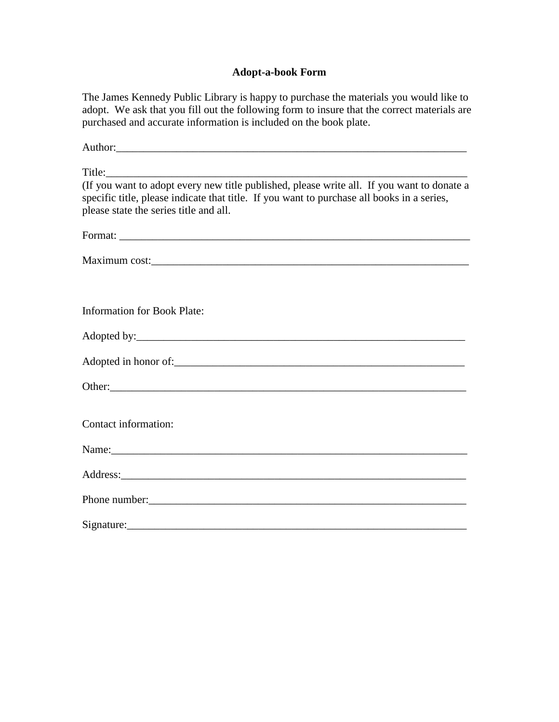## **Adopt-a-book Form**

The James Kennedy Public Library is happy to purchase the materials you would like to adopt. We ask that you fill out the following form to insure that the correct materials are purchased and accurate information is included on the book plate.

| Author: 2008 and 2008 and 2008 and 2008 and 2008 and 2008 and 2008 and 2008 and 2008 and 2008 and 2008 and 200                       |
|--------------------------------------------------------------------------------------------------------------------------------------|
|                                                                                                                                      |
| specific title, please indicate that title. If you want to purchase all books in a series,<br>please state the series title and all. |
|                                                                                                                                      |
| Maximum cost:                                                                                                                        |
| <b>Information for Book Plate:</b>                                                                                                   |
|                                                                                                                                      |
|                                                                                                                                      |
|                                                                                                                                      |
| Contact information:                                                                                                                 |
|                                                                                                                                      |
|                                                                                                                                      |
|                                                                                                                                      |
|                                                                                                                                      |